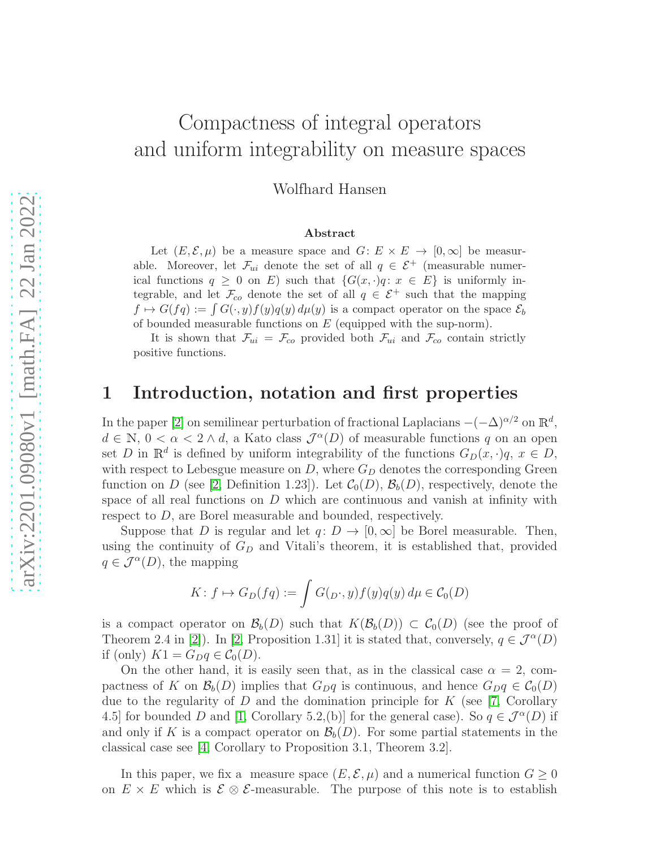# Compactness of integral operators and uniform integrability on measure spaces

Wolfhard Hansen

#### Abstract

Let  $(E, \mathcal{E}, \mu)$  be a measure space and  $G: E \times E \to [0, \infty]$  be measurable. Moreover, let  $\mathcal{F}_{ui}$  denote the set of all  $q \in \mathcal{E}^+$  (measurable numerical functions  $q \geq 0$  on E) such that  $\{G(x, \cdot)q : x \in E\}$  is uniformly integrable, and let  $\mathcal{F}_{co}$  denote the set of all  $q \in \mathcal{E}^+$  such that the mapping  $f \mapsto G(fq) := \int G(\cdot, y)f(y)q(y) d\mu(y)$  is a compact operator on the space  $\mathcal{E}_b$ of bounded measurable functions on  $E$  (equipped with the sup-norm).

It is shown that  $\mathcal{F}_{ui} = \mathcal{F}_{co}$  provided both  $\mathcal{F}_{ui}$  and  $\mathcal{F}_{co}$  contain strictly positive functions.

### 1 Introduction, notation and first properties

In the paper [\[2\]](#page-4-0) on semilinear perturbation of fractional Laplacians  $-(-\Delta)^{\alpha/2}$  on  $\mathbb{R}^d$ ,  $d \in \mathbb{N}, 0 < \alpha < 2 \wedge d$ , a Kato class  $\mathcal{J}^{\alpha}(D)$  of measurable functions q on an open set D in  $\mathbb{R}^d$  is defined by uniform integrability of the functions  $G_D(x, \cdot)q$ ,  $x \in D$ , with respect to Lebesgue measure on  $D$ , where  $G_D$  denotes the corresponding Green function on D (see [\[2,](#page-4-0) Definition 1.23]). Let  $\mathcal{C}_0(D)$ ,  $\mathcal{B}_b(D)$ , respectively, denote the space of all real functions on  $D$  which are continuous and vanish at infinity with respect to D, are Borel measurable and bounded, respectively.

Suppose that D is regular and let  $q: D \to [0,\infty]$  be Borel measurable. Then, using the continuity of  $G_D$  and Vitali's theorem, it is established that, provided  $q \in \mathcal{J}^{\alpha}(D)$ , the mapping

$$
K: f \mapsto G_D(fq) := \int G(p \cdot, y) f(y) q(y) d\mu \in C_0(D)
$$

is a compact operator on  $\mathcal{B}_b(D)$  such that  $K(\mathcal{B}_b(D)) \subset C_0(D)$  (see the proof of Theorem 2.4 in [\[2\]](#page-4-0)). In [\[2,](#page-4-0) Proposition 1.31] it is stated that, conversely,  $q \in \mathcal{J}^{\alpha}(D)$ if (only)  $K1 = G_D q \in C_0(D)$ .

On the other hand, it is easily seen that, as in the classical case  $\alpha = 2$ , compactness of K on  $\mathcal{B}_b(D)$  implies that  $G_Dq$  is continuous, and hence  $G_Dq \in \mathcal{C}_0(D)$ due to the regularity of D and the domination principle for K (see [\[7,](#page-4-1) Corollary 4.5] for bounded D and [\[1,](#page-4-2) Corollary 5.2,(b)] for the general case). So  $q \in \mathcal{J}^{\alpha}(D)$  if and only if K is a compact operator on  $\mathcal{B}_b(D)$ . For some partial statements in the classical case see [\[4,](#page-4-3) Corollary to Proposition 3.1, Theorem 3.2].

In this paper, we fix a measure space  $(E, \mathcal{E}, \mu)$  and a numerical function  $G \geq 0$ on  $E \times E$  which is  $\mathcal{E} \otimes \mathcal{E}$ -measurable. The purpose of this note is to establish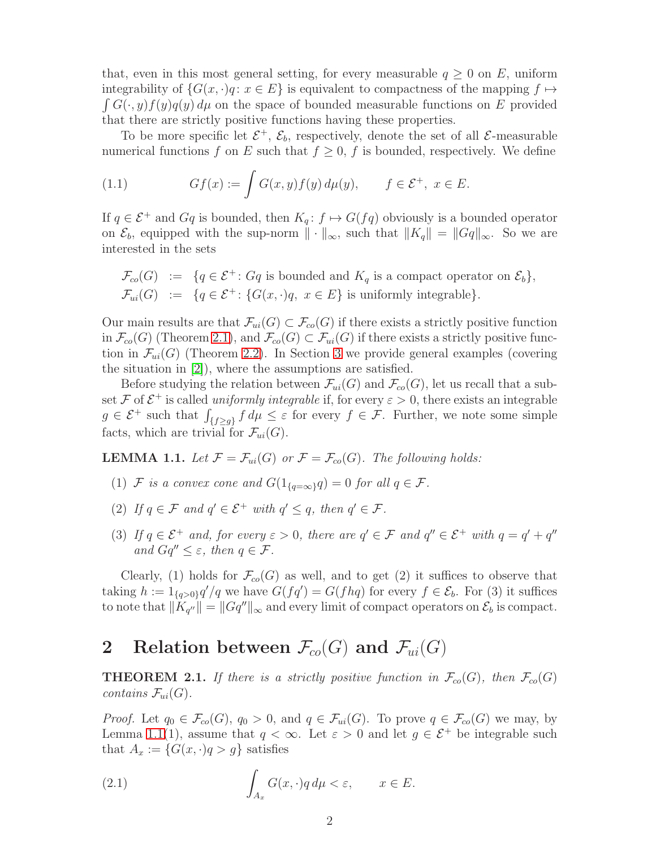that, even in this most general setting, for every measurable  $q \geq 0$  on E, uniform  $\int G(\cdot, y) f(y) q(y) d\mu$  on the space of bounded measurable functions on E provided integrability of  $\{G(x, \cdot)q : x \in E\}$  is equivalent to compactness of the mapping  $f \mapsto$ that there are strictly positive functions having these properties.

To be more specific let  $\mathcal{E}^+$ ,  $\mathcal{E}_b$ , respectively, denote the set of all  $\mathcal{E}$ -measurable numerical functions f on E such that  $f \geq 0$ , f is bounded, respectively. We define

(1.1) 
$$
Gf(x) := \int G(x, y) f(y) d\mu(y), \qquad f \in \mathcal{E}^+, \ x \in E.
$$

If  $q \in \mathcal{E}^+$  and  $Gq$  is bounded, then  $K_q: f \mapsto G(fq)$  obviously is a bounded operator on  $\mathcal{E}_b$ , equipped with the sup-norm  $\|\cdot\|_{\infty}$ , such that  $\|K_q\| = \|Gq\|_{\infty}$ . So we are interested in the sets

$$
\mathcal{F}_{co}(G) := \{ q \in \mathcal{E}^+ : Gq \text{ is bounded and } K_q \text{ is a compact operator on } \mathcal{E}_b \},
$$
  

$$
\mathcal{F}_{ui}(G) := \{ q \in \mathcal{E}^+ : \{ G(x, \cdot)q, \ x \in E \} \text{ is uniformly integrable} \}.
$$

Our main results are that  $\mathcal{F}_{ui}(G) \subset \mathcal{F}_{co}(G)$  if there exists a strictly positive function in  $\mathcal{F}_{co}(G)$  (Theorem [2.1\)](#page-1-0), and  $\mathcal{F}_{co}(G) \subset \mathcal{F}_{ui}(G)$  if there exists a strictly positive function in  $\mathcal{F}_{ui}(G)$  (Theorem [2.2\)](#page-2-0). In Section [3](#page-3-0) we provide general examples (covering the situation in [\[2\]](#page-4-0)), where the assumptions are satisfied.

Before studying the relation between  $\mathcal{F}_{ui}(G)$  and  $\mathcal{F}_{co}(G)$ , let us recall that a subset F of  $\mathcal{E}^+$  is called *uniformly integrable* if, for every  $\varepsilon > 0$ , there exists an integrable  $g \in \mathcal{E}^+$  such that  $\int_{\{f \ge g\}} f d\mu \le \varepsilon$  for every  $f \in \mathcal{F}$ . Further, we note some simple facts, which are trivial for  $\mathcal{F}_{ui}(G)$ .

<span id="page-1-1"></span>**LEMMA 1.1.** Let  $\mathcal{F} = \mathcal{F}_{ui}(G)$  or  $\mathcal{F} = \mathcal{F}_{co}(G)$ . The following holds:

- (1)  $\mathcal F$  *is a convex cone and*  $G(1_{\{q=\infty\}}q) = 0$  *for all*  $q \in \mathcal F$ *.*
- (2) If  $q \in \mathcal{F}$  and  $q' \in \mathcal{E}^+$  with  $q' \leq q$ , then  $q' \in \mathcal{F}$ .
- (3) If  $q \in \mathcal{E}^+$  and, for every  $\varepsilon > 0$ , there are  $q' \in \mathcal{F}$  and  $q'' \in \mathcal{E}^+$  with  $q = q' + q''$ *and*  $Gq'' < \varepsilon$ *, then*  $q \in \mathcal{F}$ *.*

Clearly, (1) holds for  $\mathcal{F}_{co}(G)$  as well, and to get (2) it suffices to observe that taking  $h := 1_{\{q>0\}} q'/q$  we have  $G(fq') = G(fhq)$  for every  $f \in \mathcal{E}_b$ . For (3) it suffices to note that  $||K_{q''}|| = ||Gq''||_{\infty}$  and every limit of compact operators on  $\mathcal{E}_b$  is compact.

## 2 Relation between  $\mathcal{F}_{co}(G)$  and  $\mathcal{F}_{ui}(G)$

<span id="page-1-0"></span>**THEOREM 2.1.** If there is a strictly positive function in  $\mathcal{F}_{co}(G)$ , then  $\mathcal{F}_{co}(G)$ *contains*  $\mathcal{F}_{ui}(G)$ *.* 

*Proof.* Let  $q_0 \in \mathcal{F}_{co}(G)$ ,  $q_0 > 0$ , and  $q \in \mathcal{F}_{ui}(G)$ . To prove  $q \in \mathcal{F}_{co}(G)$  we may, by Lemma [1.1\(](#page-1-1)1), assume that  $q < \infty$ . Let  $\varepsilon > 0$  and let  $g \in \mathcal{E}^+$  be integrable such that  $A_x := \{G(x, \cdot)q > g\}$  satisfies

<span id="page-1-2"></span>(2.1) 
$$
\int_{A_x} G(x, \cdot) q d\mu < \varepsilon, \qquad x \in E.
$$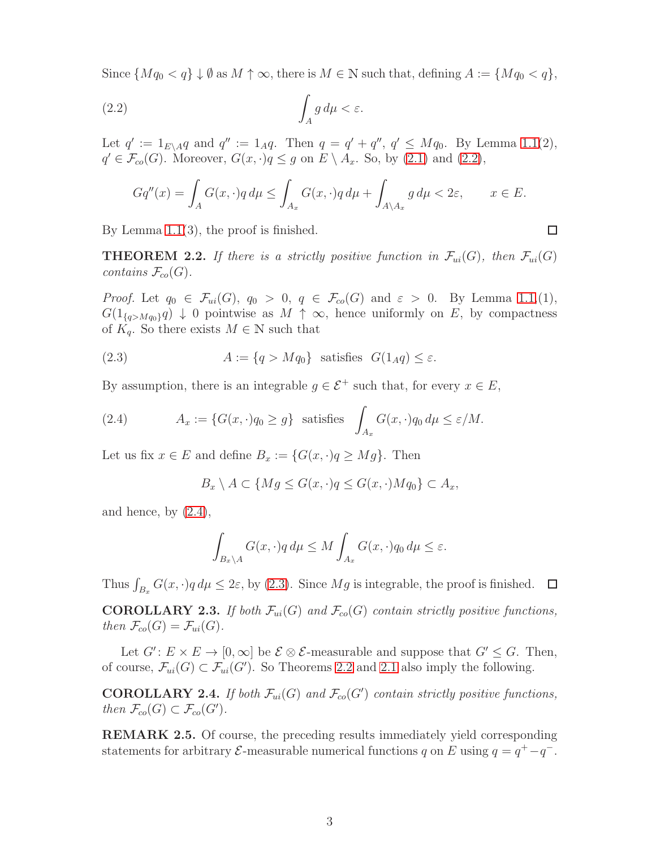Since  $\{Mq_0 < q\} \downarrow \emptyset$  as  $M \uparrow \infty$ , there is  $M \in \mathbb{N}$  such that, defining  $A := \{Mq_0 < q\},\$ 

$$
\int_A g \, d\mu < \varepsilon.
$$

Let  $q' := 1_{E \setminus A} q$  and  $q'' := 1_A q$ . Then  $q = q' + q''$ ,  $q' \leq M q_0$ . By Lemma [1.1\(](#page-1-1)2),  $q' \in \mathcal{F}_{co}(G)$ . Moreover,  $G(x, \cdot)q \leq g$  on  $E \setminus A_x$ . So, by [\(2.1\)](#page-1-2) and [\(2.2\)](#page-2-1),

<span id="page-2-1"></span>
$$
Gq''(x) = \int_A G(x, \cdot)q \, d\mu \le \int_{A_x} G(x, \cdot)q \, d\mu + \int_{A \setminus A_x} g \, d\mu < 2\varepsilon, \qquad x \in E.
$$

By Lemma [1.1\(](#page-1-1)3), the proof is finished.

<span id="page-2-0"></span>**THEOREM 2.2.** If there is a strictly positive function in  $\mathcal{F}_{ui}(G)$ , then  $\mathcal{F}_{ui}(G)$ *contains*  $\mathcal{F}_{co}(G)$ *.* 

*Proof.* Let  $q_0 \in \mathcal{F}_{ui}(G)$ ,  $q_0 > 0$ ,  $q \in \mathcal{F}_{co}(G)$  and  $\varepsilon > 0$ . By Lemma [1.1,](#page-1-1)(1),  $G(1_{\{q>Mq_0\}}q) \downarrow 0$  pointwise as  $M \uparrow \infty$ , hence uniformly on E, by compactness of  $K_q$ . So there exists  $M \in \mathbb{N}$  such that

<span id="page-2-3"></span>(2.3) 
$$
A := \{q > Mq_0\} \text{ satisfies } G(1_A q) \le \varepsilon.
$$

By assumption, there is an integrable  $g \in \mathcal{E}^+$  such that, for every  $x \in E$ ,

(2.4) 
$$
A_x := \{G(x, \cdot)q_0 \ge g\} \text{ satisfies } \int_{A_x} G(x, \cdot)q_0 d\mu \le \varepsilon/M.
$$

Let us fix  $x \in E$  and define  $B_x := \{G(x, \cdot)q \geq Mg\}$ . Then

<span id="page-2-2"></span>
$$
B_x \setminus A \subset \{ Mg \le G(x, \cdot)q \le G(x, \cdot)Mq_0 \} \subset A_x,
$$

and hence, by  $(2.4)$ ,

$$
\int_{B_x \setminus A} G(x, \cdot) q \, d\mu \le M \int_{A_x} G(x, \cdot) q_0 \, d\mu \le \varepsilon.
$$

Thus  $\int_{B_x} G(x, \cdot) q d\mu \leq 2\varepsilon$ , by [\(2.3\)](#page-2-3). Since  $Mg$  is integrable, the proof is finished.

**COROLLARY 2.3.** *If both*  $\mathcal{F}_{ui}(G)$  *and*  $\mathcal{F}_{co}(G)$  *contain strictly positive functions, then*  $\mathcal{F}_{co}(G) = \mathcal{F}_{ui}(G)$ .

Let  $G' : E \times E \to [0, \infty]$  be  $\mathcal{E} \otimes \mathcal{E}$ -measurable and suppose that  $G' \leq G$ . Then, of course,  $\mathcal{F}_{ui}(G) \subset \mathcal{F}_{ui}(G')$ . So Theorems [2.2](#page-2-0) and [2.1](#page-1-0) also imply the following.

**COROLLARY 2.4.** If both  $\mathcal{F}_{ui}(G)$  and  $\mathcal{F}_{co}(G')$  contain strictly positive functions, *then*  $\mathcal{F}_{co}(G) \subset \mathcal{F}_{co}(G')$ .

REMARK 2.5. Of course, the preceding results immediately yield corresponding statements for arbitrary  $\mathcal{E}$ -measurable numerical functions q on E using  $q = q^+ - q^-$ .

 $\Box$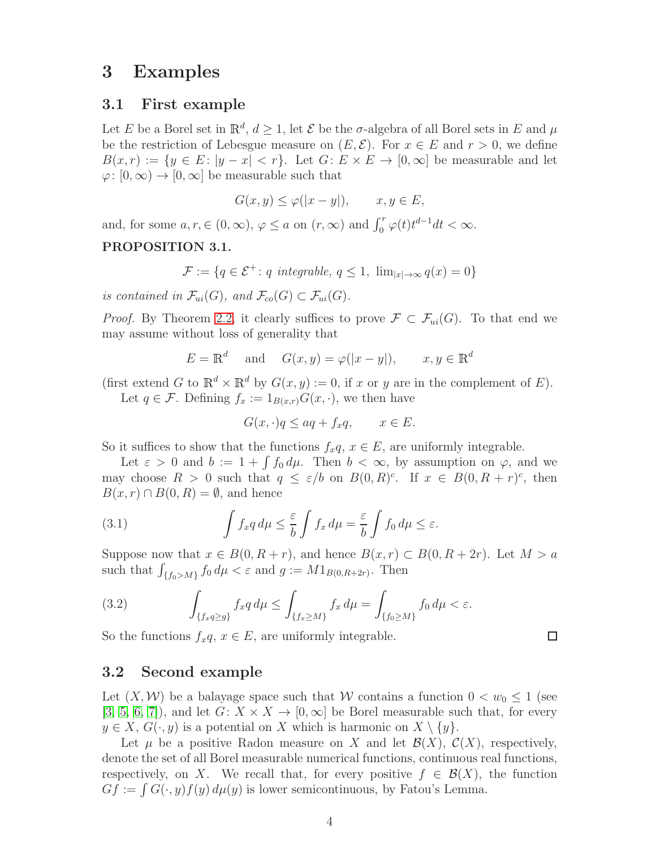### <span id="page-3-0"></span>3 Examples

### 3.1 First example

Let E be a Borel set in  $\mathbb{R}^d$ ,  $d \geq 1$ , let E be the  $\sigma$ -algebra of all Borel sets in E and  $\mu$ be the restriction of Lebesgue measure on  $(E, \mathcal{E})$ . For  $x \in E$  and  $r > 0$ , we define  $B(x, r) := \{y \in E : |y - x| < r\}.$  Let  $G: E \times E \to [0, \infty]$  be measurable and let  $\varphi: [0, \infty) \to [0, \infty]$  be measurable such that

$$
G(x, y) \le \varphi(|x - y|), \qquad x, y \in E,
$$

and, for some  $a, r \in (0, \infty)$ ,  $\varphi \le a$  on  $(r, \infty)$  and  $\int_0^r \varphi(t) t^{d-1} dt < \infty$ .

### PROPOSITION 3.1.

$$
\mathcal{F} := \{ q \in \mathcal{E}^+ \colon q \text{ integrable}, \ q \le 1, \ \lim_{|x| \to \infty} q(x) = 0 \}
$$

*is contained in*  $\mathcal{F}_{ui}(G)$ *, and*  $\mathcal{F}_{co}(G) \subset \mathcal{F}_{ui}(G)$ *.* 

*Proof.* By Theorem [2.2,](#page-2-0) it clearly suffices to prove  $\mathcal{F} \subset \mathcal{F}_{ui}(G)$ . To that end we may assume without loss of generality that

$$
E = \mathbb{R}^d \quad \text{and} \quad G(x, y) = \varphi(|x - y|), \qquad x, y \in \mathbb{R}^d
$$

(first extend G to  $\mathbb{R}^d \times \mathbb{R}^d$  by  $G(x, y) := 0$ , if x or y are in the complement of E). Let  $q \in \mathcal{F}$ . Defining  $f_x := 1_{B(x,r)} G(x, \cdot)$ , we then have

$$
G(x, \cdot)q \le aq + f_x q, \qquad x \in E.
$$

So it suffices to show that the functions  $f_xq, x \in E$ , are uniformly integrable.

Let  $\varepsilon > 0$  and  $b := 1 + \int f_0 d\mu$ . Then  $b < \infty$ , by assumption on  $\varphi$ , and we may choose  $R > 0$  such that  $q \leq \varepsilon/b$  on  $B(0,R)^c$ . If  $x \in B(0,R+r)^c$ , then  $B(x, r) \cap B(0, R) = \emptyset$ , and hence

(3.1) 
$$
\int f_x q \, d\mu \leq \frac{\varepsilon}{b} \int f_x d\mu = \frac{\varepsilon}{b} \int f_0 d\mu \leq \varepsilon.
$$

Suppose now that  $x \in B(0, R+r)$ , and hence  $B(x, r) \subset B(0, R+2r)$ . Let  $M > a$ such that  $\int_{\{f_0>M\}} f_0 d\mu < \varepsilon$  and  $g := M1_{B(0,R+2r)}$ . Then

(3.2) 
$$
\int_{\{f_x q \ge g\}} f_x q \, d\mu \le \int_{\{f_x \ge M\}} f_x \, d\mu = \int_{\{f_0 \ge M\}} f_0 \, d\mu < \varepsilon.
$$

So the functions  $f_xq, x \in E$ , are uniformly integrable.

### 3.2 Second example

Let  $(X, W)$  be a balayage space such that W contains a function  $0 < w_0 \leq 1$  (see [\[3,](#page-4-4) [5,](#page-4-5) [6,](#page-4-6) [7\]](#page-4-1)), and let  $G: X \times X \to [0, \infty]$  be Borel measurable such that, for every  $y \in X$ ,  $G(\cdot, y)$  is a potential on X which is harmonic on  $X \setminus \{y\}$ .

Let  $\mu$  be a positive Radon measure on X and let  $\mathcal{B}(X)$ ,  $\mathcal{C}(X)$ , respectively, denote the set of all Borel measurable numerical functions, continuous real functions, respectively, on X. We recall that, for every positive  $f \in \mathcal{B}(X)$ , the function  $Gf := \int G(\cdot, y)f(y) d\mu(y)$  is lower semicontinuous, by Fatou's Lemma.

```
\Box
```